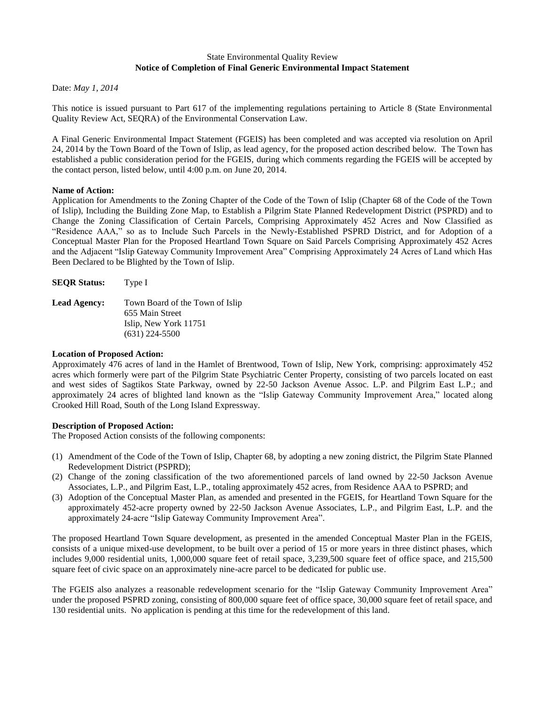### State Environmental Quality Review **Notice of Completion of Final Generic Environmental Impact Statement**

Date: *May 1, 2014*

This notice is issued pursuant to Part 617 of the implementing regulations pertaining to Article 8 (State Environmental Quality Review Act, SEQRA) of the Environmental Conservation Law.

A Final Generic Environmental Impact Statement (FGEIS) has been completed and was accepted via resolution on April 24, 2014 by the Town Board of the Town of Islip, as lead agency, for the proposed action described below. The Town has established a public consideration period for the FGEIS, during which comments regarding the FGEIS will be accepted by the contact person, listed below, until 4:00 p.m. on June 20, 2014.

### **Name of Action:**

Application for Amendments to the Zoning Chapter of the Code of the Town of Islip (Chapter 68 of the Code of the Town of Islip), Including the Building Zone Map, to Establish a Pilgrim State Planned Redevelopment District (PSPRD) and to Change the Zoning Classification of Certain Parcels, Comprising Approximately 452 Acres and Now Classified as "Residence AAA," so as to Include Such Parcels in the Newly-Established PSPRD District, and for Adoption of a Conceptual Master Plan for the Proposed Heartland Town Square on Said Parcels Comprising Approximately 452 Acres and the Adjacent "Islip Gateway Community Improvement Area" Comprising Approximately 24 Acres of Land which Has Been Declared to be Blighted by the Town of Islip.

| <b>SEOR Status:</b> | Type I                          |
|---------------------|---------------------------------|
| <b>Lead Agency:</b> | Town Board of the Town of Islip |
|                     | 655 Main Street                 |
|                     | Islip, New York 11751           |
|                     | $(631)$ 224-5500                |

#### **Location of Proposed Action:**

Approximately 476 acres of land in the Hamlet of Brentwood, Town of Islip, New York, comprising: approximately 452 acres which formerly were part of the Pilgrim State Psychiatric Center Property, consisting of two parcels located on east and west sides of Sagtikos State Parkway, owned by 22-50 Jackson Avenue Assoc. L.P. and Pilgrim East L.P.; and approximately 24 acres of blighted land known as the "Islip Gateway Community Improvement Area," located along Crooked Hill Road, South of the Long Island Expressway.

## **Description of Proposed Action:**

The Proposed Action consists of the following components:

- (1) Amendment of the Code of the Town of Islip, Chapter 68, by adopting a new zoning district, the Pilgrim State Planned Redevelopment District (PSPRD);
- (2) Change of the zoning classification of the two aforementioned parcels of land owned by 22-50 Jackson Avenue Associates, L.P., and Pilgrim East, L.P., totaling approximately 452 acres, from Residence AAA to PSPRD; and
- (3) Adoption of the Conceptual Master Plan, as amended and presented in the FGEIS, for Heartland Town Square for the approximately 452-acre property owned by 22-50 Jackson Avenue Associates, L.P., and Pilgrim East, L.P. and the approximately 24-acre "Islip Gateway Community Improvement Area".

The proposed Heartland Town Square development, as presented in the amended Conceptual Master Plan in the FGEIS, consists of a unique mixed-use development, to be built over a period of 15 or more years in three distinct phases, which includes 9,000 residential units, 1,000,000 square feet of retail space, 3,239,500 square feet of office space, and 215,500 square feet of civic space on an approximately nine-acre parcel to be dedicated for public use.

The FGEIS also analyzes a reasonable redevelopment scenario for the "Islip Gateway Community Improvement Area" under the proposed PSPRD zoning, consisting of 800,000 square feet of office space, 30,000 square feet of retail space, and 130 residential units. No application is pending at this time for the redevelopment of this land.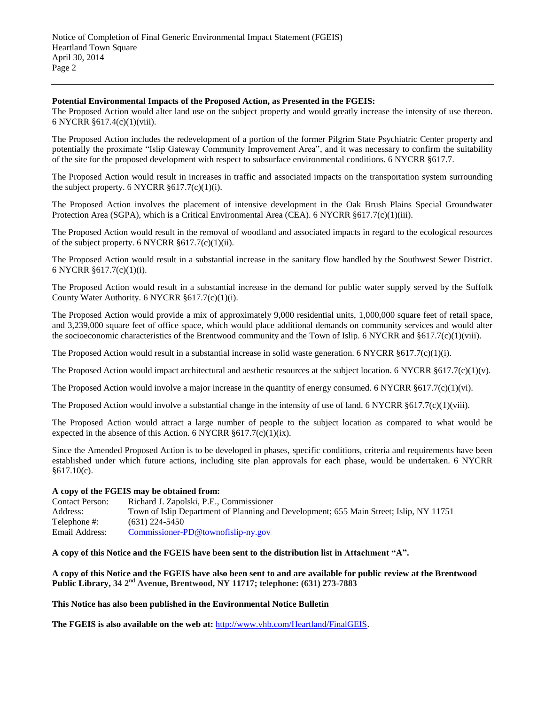#### **Potential Environmental Impacts of the Proposed Action, as Presented in the FGEIS:**

The Proposed Action would alter land use on the subject property and would greatly increase the intensity of use thereon. 6 NYCRR §617.4(c)(1)(viii).

The Proposed Action includes the redevelopment of a portion of the former Pilgrim State Psychiatric Center property and potentially the proximate "Islip Gateway Community Improvement Area", and it was necessary to confirm the suitability of the site for the proposed development with respect to subsurface environmental conditions. 6 NYCRR §617.7.

The Proposed Action would result in increases in traffic and associated impacts on the transportation system surrounding the subject property. 6 NYCRR  $\S 617.7(c)(1)(i)$ .

The Proposed Action involves the placement of intensive development in the Oak Brush Plains Special Groundwater Protection Area (SGPA), which is a Critical Environmental Area (CEA). 6 NYCRR §617.7(c)(1)(iii).

The Proposed Action would result in the removal of woodland and associated impacts in regard to the ecological resources of the subject property. 6 NYCRR  $§617.7(c)(1)(ii)$ .

The Proposed Action would result in a substantial increase in the sanitary flow handled by the Southwest Sewer District. 6 NYCRR §617.7(c)(1)(i).

The Proposed Action would result in a substantial increase in the demand for public water supply served by the Suffolk County Water Authority. 6 NYCRR §617.7(c)(1)(i).

The Proposed Action would provide a mix of approximately 9,000 residential units, 1,000,000 square feet of retail space, and 3,239,000 square feet of office space, which would place additional demands on community services and would alter the socioeconomic characteristics of the Brentwood community and the Town of Islip. 6 NYCRR and §617.7(c)(1)(viii).

The Proposed Action would result in a substantial increase in solid waste generation. 6 NYCRR  $§617.7(c)(1)(i)$ .

The Proposed Action would impact architectural and aesthetic resources at the subject location. 6 NYCRR §617.7(c)(1)(v).

The Proposed Action would involve a major increase in the quantity of energy consumed. 6 NYCRR  $\S 617.7(c)(1)(vi)$ .

The Proposed Action would involve a substantial change in the intensity of use of land. 6 NYCRR §617.7(c)(1)(viii).

The Proposed Action would attract a large number of people to the subject location as compared to what would be expected in the absence of this Action. 6 NYCRR  $\S 617.7(c)(1)(ix)$ .

Since the Amended Proposed Action is to be developed in phases, specific conditions, criteria and requirements have been established under which future actions, including site plan approvals for each phase, would be undertaken. 6 NYCRR §617.10(c).

#### **A copy of the FGEIS may be obtained from:**

| <b>Contact Person:</b> | Richard J. Zapolski, P.E., Commissioner                                                |
|------------------------|----------------------------------------------------------------------------------------|
| Address:               | Town of Islip Department of Planning and Development; 655 Main Street; Islip, NY 11751 |
| Telephone #:           | $(631)$ 224-5450                                                                       |
| Email Address:         | Commissioner-PD@townofislip-ny.gov                                                     |

# **A copy of this Notice and the FGEIS have been sent to the distribution list in Attachment "A".**

**A copy of this Notice and the FGEIS have also been sent to and are available for public review at the Brentwood Public Library, 34 2nd Avenue, Brentwood, NY 11717; telephone: (631) 273-7883**

**This Notice has also been published in the Environmental Notice Bulletin**

**The FGEIS is also available on the web at:** [http://www.vhb.com/Heartland/FinalGEIS.](http://www.vhb.com/Heartland/FinalGEIS)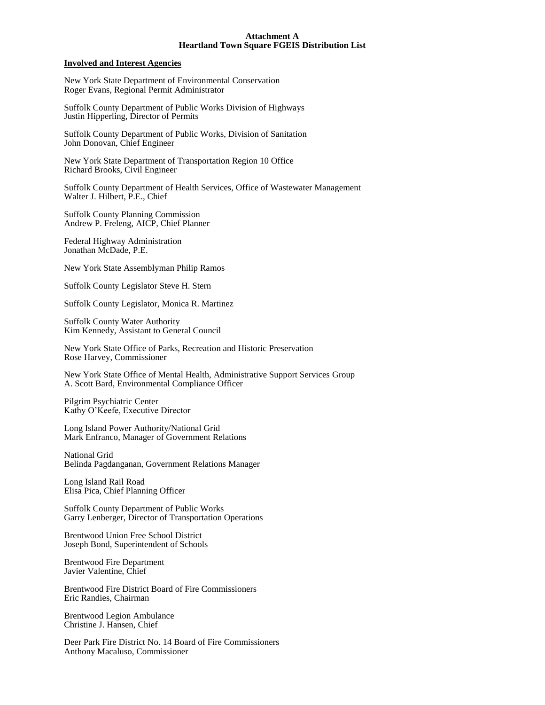#### **Attachment A Heartland Town Square FGEIS Distribution List**

#### **Involved and Interest Agencies**

New York State Department of Environmental Conservation Roger Evans, Regional Permit Administrator

Suffolk County Department of Public Works Division of Highways Justin Hipperling, Director of Permits

Suffolk County Department of Public Works, Division of Sanitation John Donovan, Chief Engineer

New York State Department of Transportation Region 10 Office Richard Brooks, Civil Engineer

Suffolk County Department of Health Services, Office of Wastewater Management Walter J. Hilbert, P.E., Chief

Suffolk County Planning Commission Andrew P. Freleng, AICP, Chief Planner

Federal Highway Administration Jonathan McDade, P.E.

New York State Assemblyman Philip Ramos

Suffolk County Legislator Steve H. Stern

Suffolk County Legislator, Monica R. Martinez

Suffolk County Water Authority Kim Kennedy, Assistant to General Council

New York State Office of Parks, Recreation and Historic Preservation Rose Harvey, Commissioner

New York State Office of Mental Health, Administrative Support Services Group A. Scott Bard, Environmental Compliance Officer

Pilgrim Psychiatric Center Kathy O'Keefe, Executive Director

Long Island Power Authority/National Grid Mark Enfranco, Manager of Government Relations

National Grid Belinda Pagdanganan, Government Relations Manager

Long Island Rail Road Elisa Pica, Chief Planning Officer

Suffolk County Department of Public Works Garry Lenberger, Director of Transportation Operations

Brentwood Union Free School District Joseph Bond, Superintendent of Schools

Brentwood Fire Department Javier Valentine, Chief

Brentwood Fire District Board of Fire Commissioners Eric Randies, Chairman

Brentwood Legion Ambulance Christine J. Hansen, Chief

Deer Park Fire District No. 14 Board of Fire Commissioners Anthony Macaluso, Commissioner